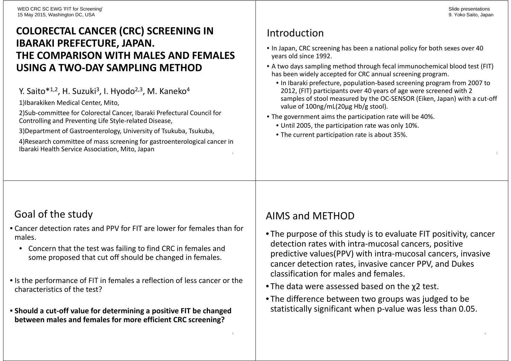### **COLORECTAL CANCER (CRC) SCREENING IN IBARAKI PREFECTURE, JAPAN. THE COMPARISON WITH MALES AND FEMALES USING A TWO-DAY SAMPLING METHOD**

Y. Saito\*<sup>1,2</sup>, H. Suzuki<sup>3</sup>, I. Hyodo<sup>2,3</sup>, M. Kaneko<sup>4</sup>

1)Ibarakiken Medical Center, Mito,

2)Sub-committee for Colorectal Cancer, Ibaraki Prefectural Council for Controlling and Preventing Life Style-related Disease,

3)Department of Gastroenterology, University of Tsukuba, Tsukuba,

4)Research committee of mass screening for gastroenterological cancer in Ibaraki Health Service Association, Mito, Japan<sup>1</sup>

# Introduction

- In Japan, CRC screening has been a national policy for both sexes over 40 years old since 1992.
- A two days sampling method through fecal immunochemical blood test (FIT) has been widely accepted for CRC annual screening program.
	- In Ibaraki prefecture, population-based screening program from 2007 to 2012, (FIT) participants over 40 years of age were screened with 2 samples of stool measured by the OC-SENSOR (Eiken, Japan) with a cut-off value of 100ng/mL(20μg Hb/g stool).
- The government aims the participation rate will be 40%.
	- Until 2005, the participation rate was only 10%.
	- The current participation rate is about 35%.

# Goal of the study

- Cancer detection rates and PPV for FIT are lower for females than for males.
	- Concern that the test was failing to find CRC in females and some proposed that cut off should be changed in females.
- Is the performance of FIT in females a reflection of less cancer or the characteristics of the test?
- **Should a cut-off value for determining a positive FIT be changed between males and females for more efficient CRC screening?**

# AIMS and METHOD

- The purpose of this study is to evaluate FIT positivity, cancer detection rates with intra-mucosal cancers, positive predictive values(PPV) with intra-mucosal cancers, invasive cancer detection rates, invasive cancer PPV, and Dukes classification for males and females.
- The data were assessed based on the χ2 test.
- The difference between two groups was judged to be statistically significant when p-value was less than 0.05.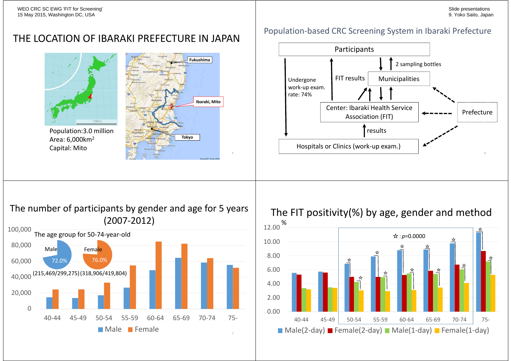### THE LOCATION OF IBARAKI PREFECTURE IN JAPAN



Population:3.0 million Area: 6,000km<sup>2</sup> Capital: Mito



#### Population-based CRC Screening System in Ibaraki Prefecture



The number of participants by gender and age for 5 years (2007-2012)



The FIT positivity(%) by age, gender and method

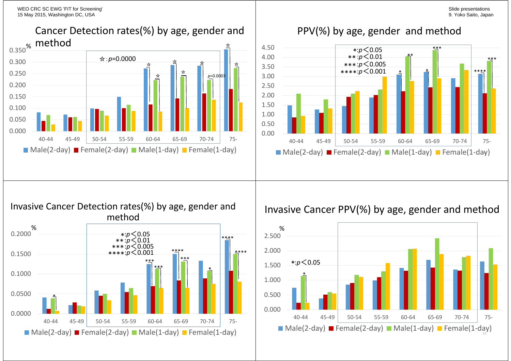Slide presentations 9. Yoko Saito, Japan

WEO CRC SC EWG 'FIT for Screening' 15 May 2015, Washington DC, USA



### PPV(%) by age, gender and method



#### Invasive Cancer Detection rates(%) by age, gender and method



### Invasive Cancer PPV(%) by age, gender and method